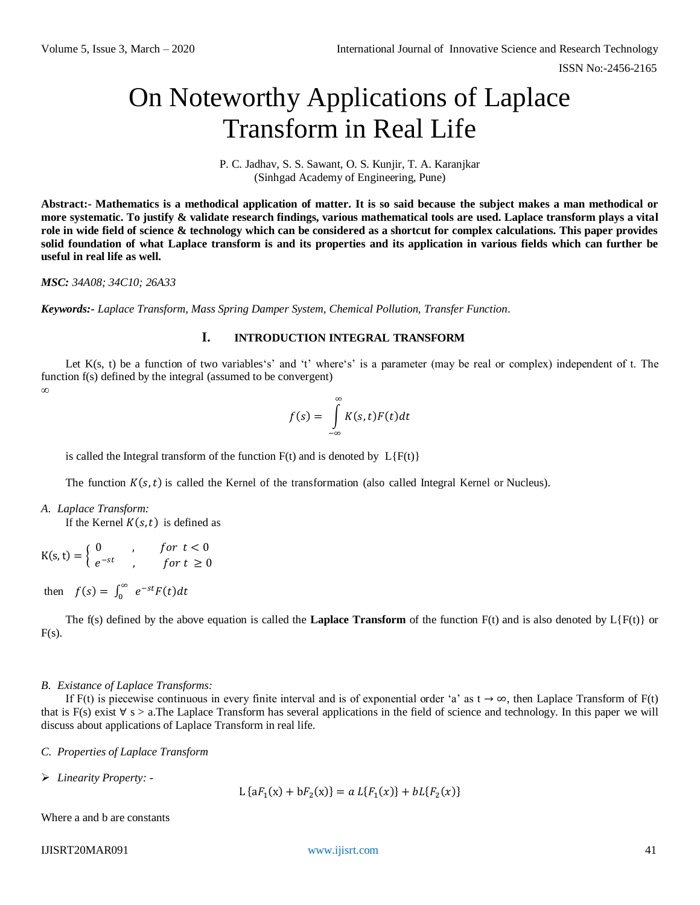# On Noteworthy Applications of Laplace Transform in Real Life

P. C. Jadhav, S. S. Sawant, O. S. Kunjir, T. A. Karanjkar (Sinhgad Academy of Engineering, Pune)

**Abstract:- Mathematics is a methodical application of matter. It is so said because the subject makes a man methodical or more systematic. To justify & validate research findings, various mathematical tools are used. Laplace transform plays a vital role in wide field of science & technology which can be considered as a shortcut for complex calculations. This paper provides solid foundation of what Laplace transform is and its properties and its application in various fields which can further be useful in real life as well.**

#### *MSC: 34A08; 34C10; 26A33*

*Keywords:- Laplace Transform, Mass Spring Damper System, Chemical Pollution, Transfer Function.*

#### **I. INTRODUCTION INTEGRAL TRANSFORM**

Let  $K(s, t)$  be a function of two variables's' and 't' where's' is a parameter (may be real or complex) independent of t. The function f(s) defined by the integral (assumed to be convergent) *∞*

$$
f(s) = \int_{-\infty}^{\infty} K(s,t)F(t)dt
$$

is called the Integral transform of the function  $F(t)$  and is denoted by  $L{F(t)}$ 

The function  $K(s, t)$  is called the Kernel of the transformation (also called Integral Kernel or Nucleus).

*A. Laplace Transform:* If the Kernel  $K(s, t)$  is defined as

$$
K(s,t) = \begin{cases} 0 & , \text{ for } t < 0\\ e^{-st} & , \text{ for } t \ge 0 \end{cases}
$$

then  $f(s) = \int_0^\infty e^{-st} F(t) dt$ 

The f(s) defined by the above equation is called the **Laplace Transform** of the function  $F(t)$  and is also denoted by  $L\{F(t)\}$  or  $F(s)$ .

#### *B. Existance of Laplace Transforms:*

If F(t) is piecewise continuous in every finite interval and is of exponential order 'a' as  $t \to \infty$ , then Laplace Transform of F(t) that is F(s) exist  $\forall$  s > a.The Laplace Transform has several applications in the field of science and technology. In this paper we will discuss about applications of Laplace Transform in real life.

*C. Properties of Laplace Transform*

*Linearity Property: -*

L { $af_1(x) + bf_2(x)$ } =  $a L{F_1(x)} + bL{F_2(x)}$ 

Where a and b are constants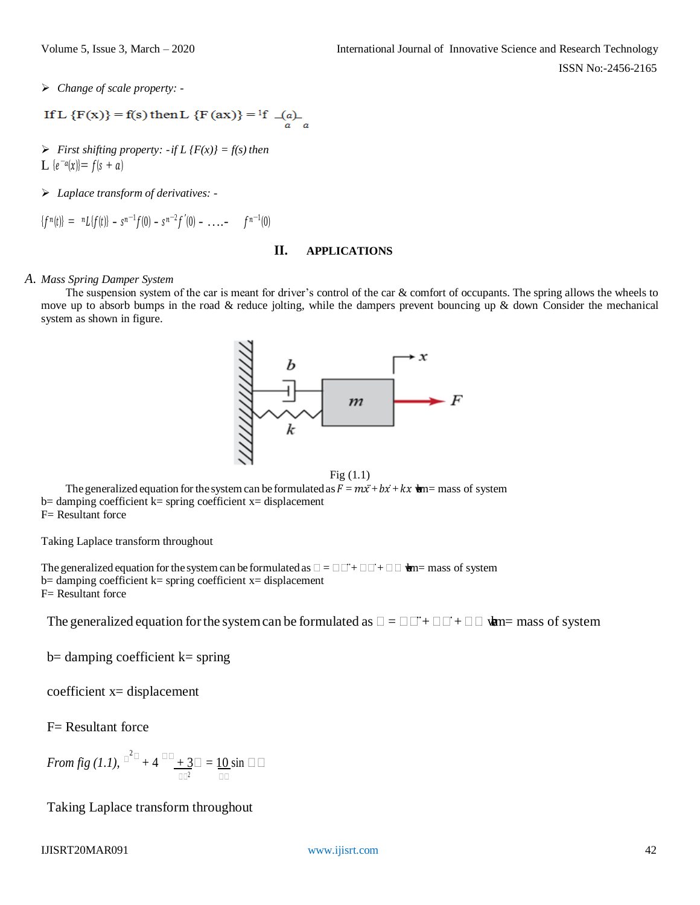*Change of scale property: -*

If L {F(x)} = f(s) then L {F(ax)} = 
$$
{}^{1}f \quad \underset{a}{\longrightarrow} \quad \underset{a}{\longrightarrow}
$$

- *First shifting property:*  $\cdot$  *if L {F(x)} = f(s) then* L  $\{e^{-a}(x)\}=f(s+a)$
- *Laplace transform of derivatives: -*

 ${f^{n}(t)} = {^{n}L}{f(t)} - {s^{n-1}f(0) - s^{n-2}f'(0) - \ldots - f^{n-1}(0)}$ 

#### **II. APPLICATIONS**

## *A. Mass Spring Damper System*

The suspension system of the car is meant for driver's control of the car & comfort of occupants. The spring allows the wheels to move up to absorb bumps in the road  $\&$  reduce jolting, while the dampers prevent bouncing up  $\&$  down Consider the mechanical system as shown in figure.



Fig (1.1)

The generalized equation for the system can be formulated as  $F = mx + bx + kx$  and  $m =$  mass of system  $b=$  damping coefficient  $k=$  spring coefficient  $x=$  displacement F= Resultant force

Taking Laplace transform throughout

The generalized equation for the system can be formulated as  $\square = \square \square + \square \square + \square \square$   $\blacksquare$  mass of system  $b=$  damping coefficient  $k=$  spring coefficient  $x=$  displacement F= Resultant force

The generalized equation for the system can be formulated as  $\Box = \Box \Box + \Box \Box + \Box \Box$  when mass of system

 $b=$  damping coefficient  $k=$  spring

coefficient x= displacement

F= Resultant force

From fig (1.1), 
$$
\mathbb{C}^2 \mathbb{D} + 4 \mathbb{C} \underline{\mathbb{L} + 3 \mathbb{C}} = \underline{10} \sin \mathbb{C} \mathbb{C}
$$

Taking Laplace transform throughout

## IJISRT20MAR091 [www.ijisrt.com](http://www.ijisrt.com/) 42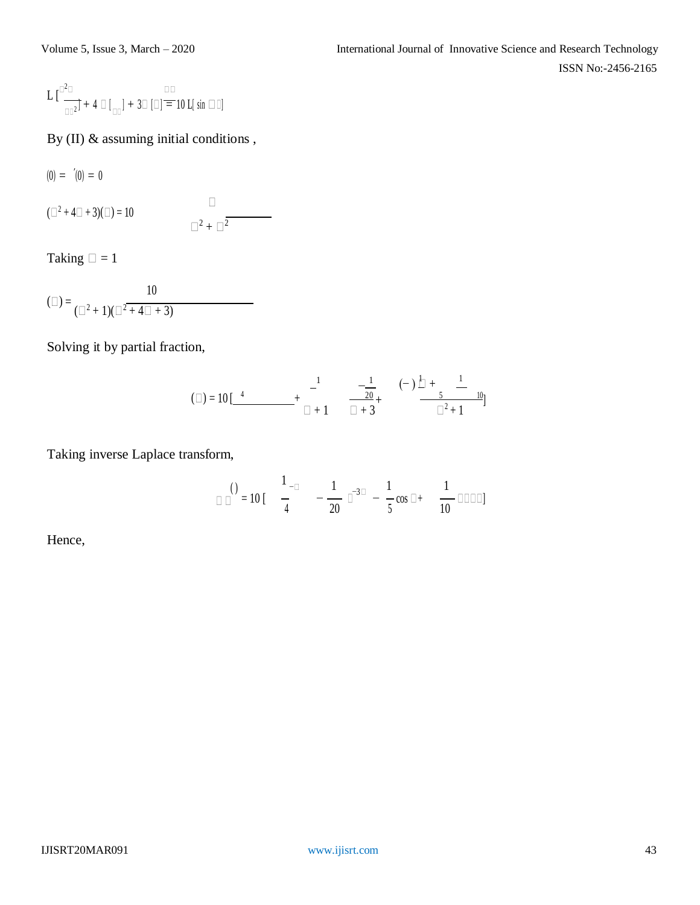$$
L\,[\tfrac{\Box^2\Box}{\Box\Box^2}]+4\,\Box\,[\tfrac{\Box\Box}{\Box\Box}]+3\Box\,[\Box]\equiv10\,L[\,\sin\,\Box\,\Box]
$$

By (II) & assuming initial conditions ,

 $(0) = ' (0) = 0$ 

 $(\square^2 + 4\square + 3)(\square) = 10$  $\Box$  .  $\Box^2 + \Box^2$ 

Taking  $\Box = 1$ 

$$
(\Box) = \frac{10}{(\Box^2 + 1)(\Box^2 + 4\Box + 3)}
$$

Solving it by partial fraction,

$$
(a) = 10 \left[ \begin{array}{ccc} 1 & -\frac{1}{20} & (-) \frac{1}{1} + \frac{1}{5} \\ + \frac{1}{1} + 1 & \frac{1}{1} + 3 \end{array} \right]
$$

Taking inverse Laplace transform,

$$
\text{or} \quad \frac{1}{4} = 10 \left[ \frac{1}{4} - \frac{1}{20} \right]^{-3} = \frac{1}{5} \cos \theta + \frac{1}{10} \text{ or } \theta
$$

Hence,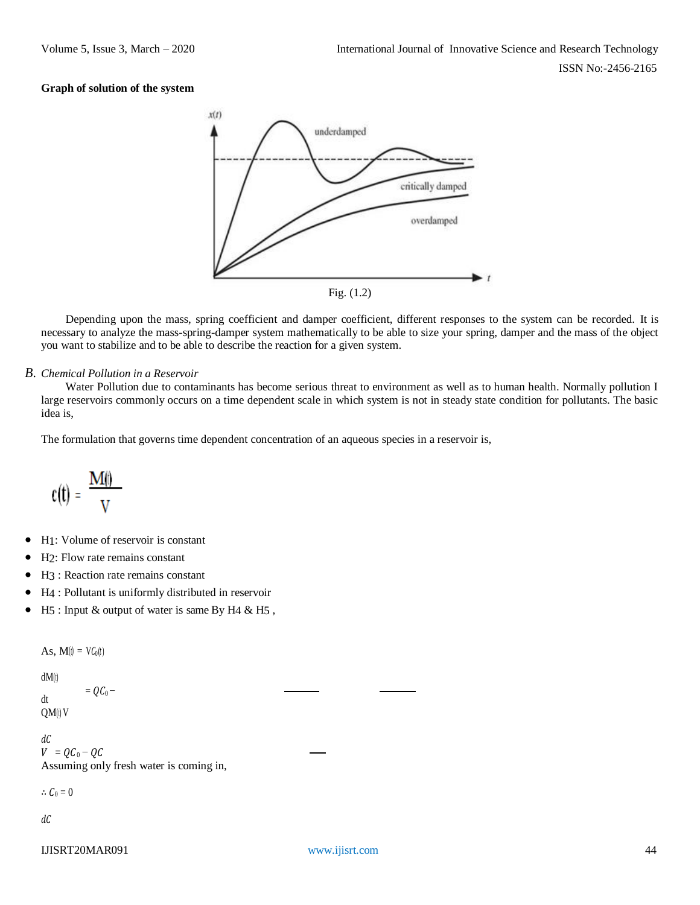## **Graph of solution of the system**



Depending upon the mass, spring coefficient and damper coefficient, different responses to the system can be recorded. It is necessary to analyze the mass-spring-damper system mathematically to be able to size your spring, damper and the mass of the object you want to stabilize and to be able to describe the reaction for a given system.

## *B. Chemical Pollution in a Reservoir*

Water Pollution due to contaminants has become serious threat to environment as well as to human health. Normally pollution I large reservoirs commonly occurs on a time dependent scale in which system is not in steady state condition for pollutants. The basic idea is,

The formulation that governs time dependent concentration of an aqueous species in a reservoir is,

$$
c(t) = \frac{M(t)}{V}
$$

- H1: Volume of reservoir is constant
- H2: Flow rate remains constant
- H3 : Reaction rate remains constant
- H4 : Pollutant is uniformly distributed in reservoir
- H<sub>5</sub> : Input & output of water is same By H<sub>4</sub> & H<sub>5</sub>,

As,  $\mathbf{M}(t) = \mathbf{V} \mathbf{C}_0(t)$ 

dM(t)

dt  $=$   $OC<sub>0</sub>$  – QM(t) V

 $dC$ 

 $V = QC_0 - QC$ Assuming only fresh water is coming in,

 $\therefore C_0 = 0$ 

 $dC$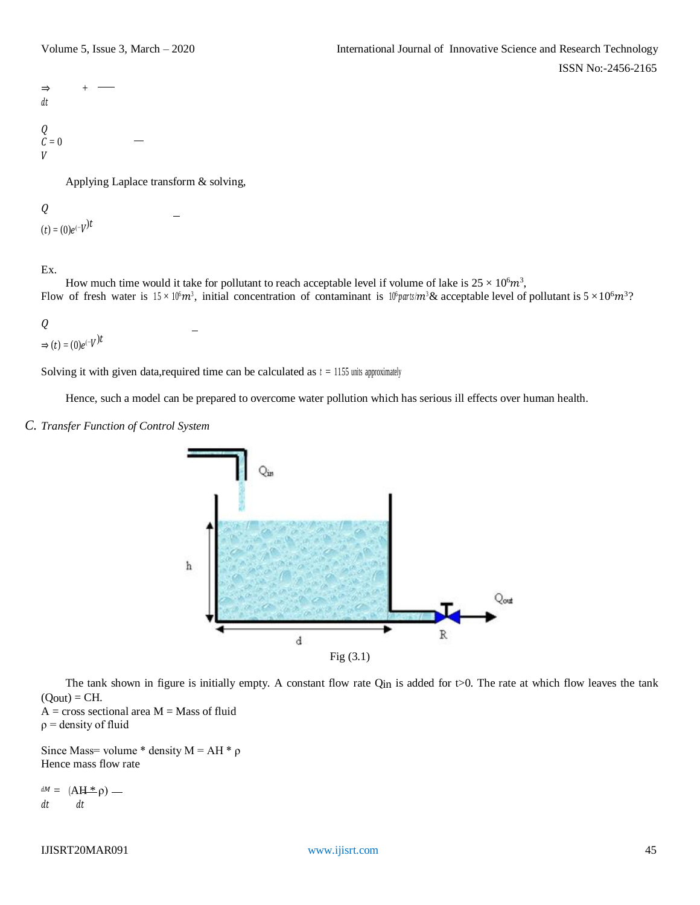

Applying Laplace transform & solving,

# $Q$

 $(t) = (0)e^{(-V)^{t}}$ 

## Ex.

How much time would it take for pollutant to reach acceptable level if volume of lake is  $25 \times 10^6 m^3$ , Flow of fresh water is  $15 \times 10^6 m^3$ , initial concentration of contaminant is  $10^6$ parts/m<sup>3</sup>& acceptable level of pollutant is  $5 \times 10^6 m^3$ ?

# $Q$

 $\Rightarrow$   $(t) = (0)e^{(-V)t}$ 

Solving it with given data, required time can be calculated as  $t = 1155$  units approximately

Hence, such a model can be prepared to overcome water pollution which has serious ill effects over human health.

#### *C. Transfer Function of Control System*



The tank shown in figure is initially empty. A constant flow rate  $Q_{in}$  is added for t $>0$ . The rate at which flow leaves the tank  $(Q_{\text{out}}) = CH.$ 

 $A = cross sectional area M = Mass of fluid$  $\rho$  = density of fluid

Since Mass= volume \* density  $M = AH * \rho$ Hence mass flow rate

 $dM = (AH * \rho)$   $dt$   $dt$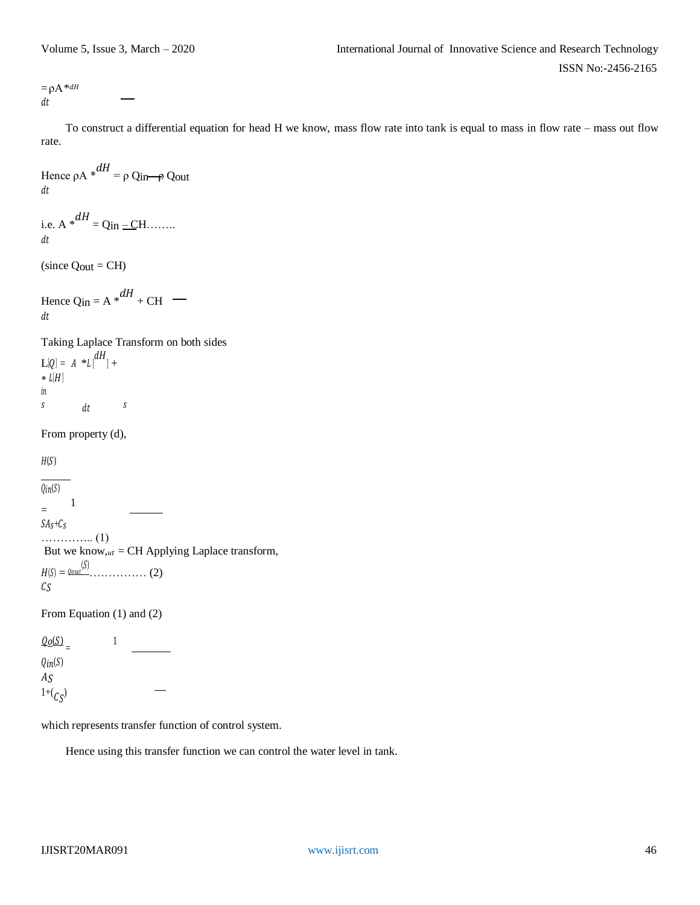$= \rho A * dH$  $dt$ 

To construct a differential equation for head H we know, mass flow rate into tank is equal to mass in flow rate – mass out flow rate.

Hence  $\rho A *^{dH} = \rho Q_{in} \rightarrow Q_{out}$  $dt$ 

i.e. A  $*^{dH} = Q_{in} - CH$ .......  $dt$ 

 $(since$   $Qut = CH)$ 

Hence Qin =  $A * dH + CH$  $\,dt$ 

Taking Laplace Transform on both sides  $L[Q] = A *L \binom{dH}{ } +$  $* L[H]$  $\mathfrak{m}$  $s$  dt  $s$ 

From property (d),

 $H(S)$ 

 $Qin(S)$ = 1  $SA_S+C_S$ ………….. (1) But we know, $u_t = CH$  Applying Laplace transform, () = ()…………… (2)  $\mathcal{C} \mathcal{S}$ 

From Equation (1) and (2)

 $\frac{\mathcal{Q}_0(\mathcal{S})}{\mathcal{S}_0}$  = 1  $Qin(S)$  $AS$  $1+(c_S)$ 

which represents transfer function of control system.

Hence using this transfer function we can control the water level in tank.